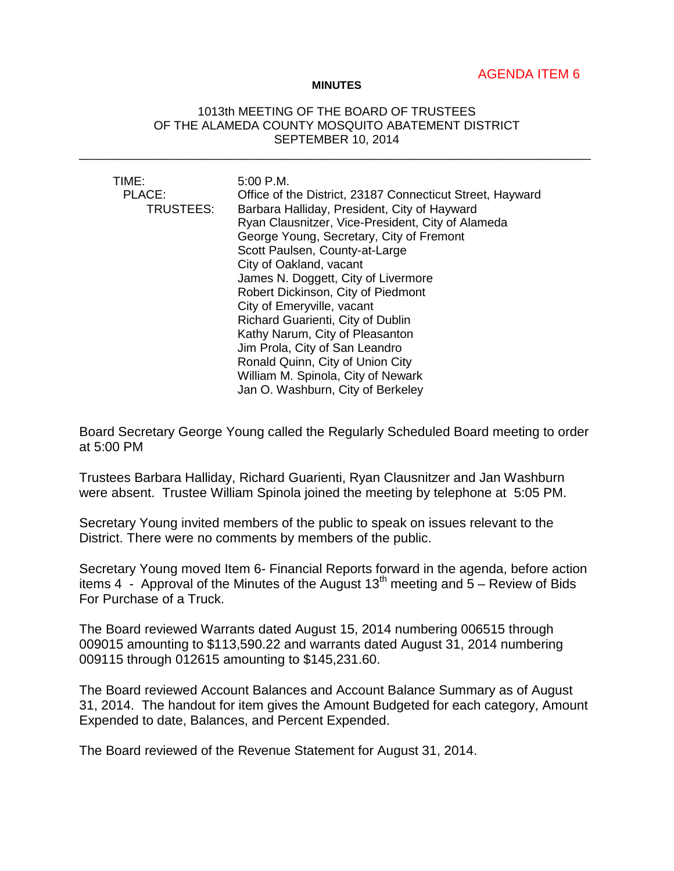## AGENDA ITEM 6

## **MINUTES**

## 1013th MEETING OF THE BOARD OF TRUSTEES OF THE ALAMEDA COUNTY MOSQUITO ABATEMENT DISTRICT SEPTEMBER 10, 2014

\_\_\_\_\_\_\_\_\_\_\_\_\_\_\_\_\_\_\_\_\_\_\_\_\_\_\_\_\_\_\_\_\_\_\_\_\_\_\_\_\_\_\_\_\_\_\_\_\_\_\_\_\_\_\_\_\_\_\_\_\_\_\_\_\_\_\_\_\_\_\_\_\_\_\_\_

| TIME:     | $5:00$ P.M.                                               |
|-----------|-----------------------------------------------------------|
| PLACE:    | Office of the District, 23187 Connecticut Street, Hayward |
| TRUSTEES: | Barbara Halliday, President, City of Hayward              |
|           | Ryan Clausnitzer, Vice-President, City of Alameda         |
|           | George Young, Secretary, City of Fremont                  |
|           | Scott Paulsen, County-at-Large                            |
|           | City of Oakland, vacant                                   |
|           | James N. Doggett, City of Livermore                       |
|           | Robert Dickinson, City of Piedmont                        |
|           | City of Emeryville, vacant                                |
|           | Richard Guarienti, City of Dublin                         |
|           | Kathy Narum, City of Pleasanton                           |
|           | Jim Prola, City of San Leandro                            |
|           | Ronald Quinn, City of Union City                          |
|           | William M. Spinola, City of Newark                        |
|           | Jan O. Washburn, City of Berkeley                         |

Board Secretary George Young called the Regularly Scheduled Board meeting to order at 5:00 PM

Trustees Barbara Halliday, Richard Guarienti, Ryan Clausnitzer and Jan Washburn were absent. Trustee William Spinola joined the meeting by telephone at 5:05 PM.

Secretary Young invited members of the public to speak on issues relevant to the District. There were no comments by members of the public.

Secretary Young moved Item 6- Financial Reports forward in the agenda, before action items 4 - Approval of the Minutes of the August 13<sup>th</sup> meeting and  $\overline{5}$  – Review of Bids For Purchase of a Truck.

The Board reviewed Warrants dated August 15, 2014 numbering 006515 through 009015 amounting to \$113,590.22 and warrants dated August 31, 2014 numbering 009115 through 012615 amounting to \$145,231.60.

The Board reviewed Account Balances and Account Balance Summary as of August 31, 2014. The handout for item gives the Amount Budgeted for each category, Amount Expended to date, Balances, and Percent Expended.

The Board reviewed of the Revenue Statement for August 31, 2014.